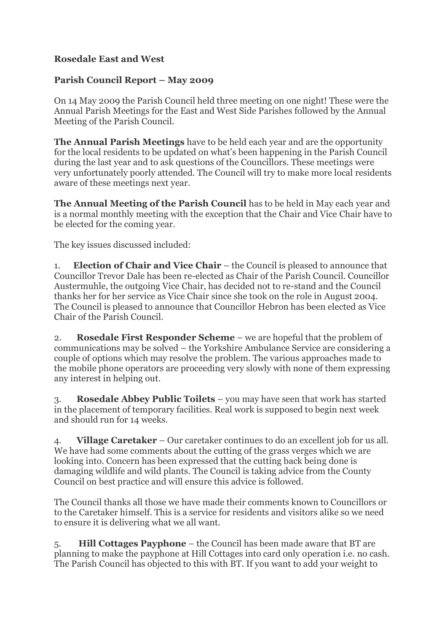## **Rosedale East and West**

## **Parish Council Report – May 2009**

On 14 May 2009 the Parish Council held three meeting on one night! These were the Annual Parish Meetings for the East and West Side Parishes followed by the Annual Meeting of the Parish Council.

**The Annual Parish Meetings** have to be held each year and are the opportunity for the local residents to be updated on what's been happening in the Parish Council during the last year and to ask questions of the Councillors. These meetings were very unfortunately poorly attended. The Council will try to make more local residents aware of these meetings next year.

**The Annual Meeting of the Parish Council** has to be held in May each year and is a normal monthly meeting with the exception that the Chair and Vice Chair have to be elected for the coming year.

The key issues discussed included:

1. **Election of Chair and Vice Chair** – the Council is pleased to announce that Councillor Trevor Dale has been re-elected as Chair of the Parish Council. Councillor Austermuhle, the outgoing Vice Chair, has decided not to re-stand and the Council thanks her for her service as Vice Chair since she took on the role in August 2004. The Council is pleased to announce that Councillor Hebron has been elected as Vice Chair of the Parish Council.

2. **Rosedale First Responder Scheme** – we are hopeful that the problem of communications may be solved – the Yorkshire Ambulance Service are considering a couple of options which may resolve the problem. The various approaches made to the mobile phone operators are proceeding very slowly with none of them expressing any interest in helping out.

3. **Rosedale Abbey Public Toilets** – you may have seen that work has started in the placement of temporary facilities. Real work is supposed to begin next week and should run for 14 weeks.

4. **Village Caretaker** – Our caretaker continues to do an excellent job for us all. We have had some comments about the cutting of the grass verges which we are looking into. Concern has been expressed that the cutting back being done is damaging wildlife and wild plants. The Council is taking advice from the County Council on best practice and will ensure this advice is followed.

The Council thanks all those we have made their comments known to Councillors or to the Caretaker himself. This is a service for residents and visitors alike so we need to ensure it is delivering what we all want.

5. **Hill Cottages Payphone** – the Council has been made aware that BT are planning to make the payphone at Hill Cottages into card only operation i.e. no cash. The Parish Council has objected to this with BT. If you want to add your weight to